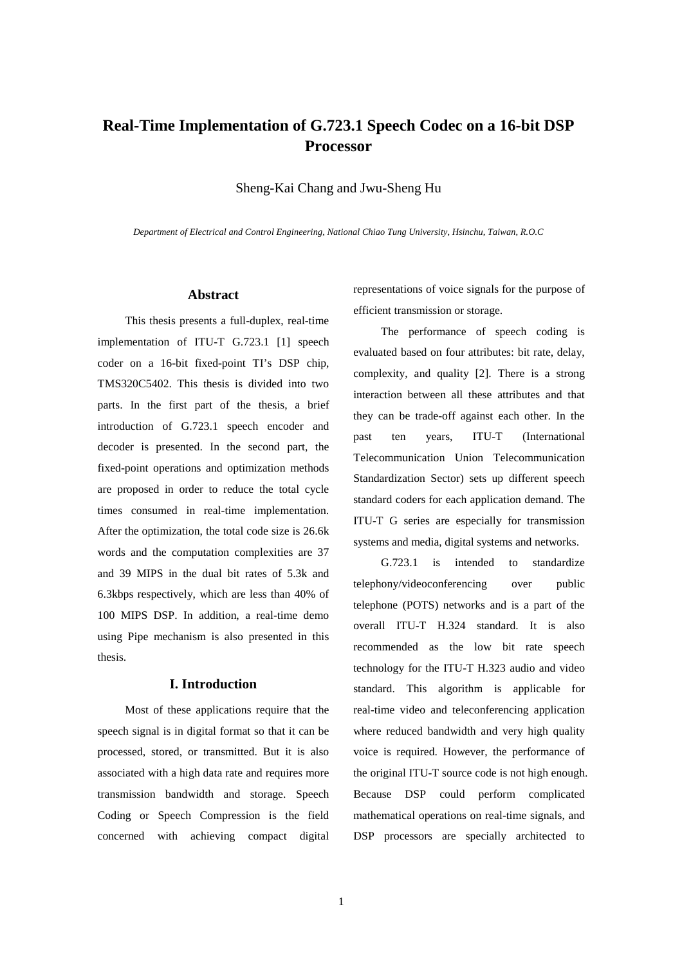# **Real-Time Implementation of G.723.1 Speech Codec on a 16-bit DSP Processor**

Sheng-Kai Chang and Jwu-Sheng Hu

*Department of Electrical and Control Engineering, National Chiao Tung University, Hsinchu, Taiwan, R.O.C* 

### **Abstract**

This thesis presents a full-duplex, real-time implementation of ITU-T G.723.1 [1] speech coder on a 16-bit fixed-point TI's DSP chip, TMS320C5402. This thesis is divided into two parts. In the first part of the thesis, a brief introduction of G.723.1 speech encoder and decoder is presented. In the second part, the fixed-point operations and optimization methods are proposed in order to reduce the total cycle times consumed in real-time implementation. After the optimization, the total code size is 26.6k words and the computation complexities are 37 and 39 MIPS in the dual bit rates of 5.3k and 6.3kbps respectively, which are less than 40% of 100 MIPS DSP. In addition, a real-time demo using Pipe mechanism is also presented in this thesis.

### **I. Introduction**

Most of these applications require that the speech signal is in digital format so that it can be processed, stored, or transmitted. But it is also associated with a high data rate and requires more transmission bandwidth and storage. Speech Coding or Speech Compression is the field concerned with achieving compact digital

representations of voice signals for the purpose of efficient transmission or storage.

The performance of speech coding is evaluated based on four attributes: bit rate, delay, complexity, and quality [2]. There is a strong interaction between all these attributes and that they can be trade-off against each other. In the past ten years, ITU-T (International Telecommunication Union Telecommunication Standardization Sector) sets up different speech standard coders for each application demand. The ITU-T G series are especially for transmission systems and media, digital systems and networks.

G.723.1 is intended to standardize telephony/videoconferencing over public telephone (POTS) networks and is a part of the overall ITU-T H.324 standard. It is also recommended as the low bit rate speech technology for the ITU-T H.323 audio and video standard. This algorithm is applicable for real-time video and teleconferencing application where reduced bandwidth and very high quality voice is required. However, the performance of the original ITU-T source code is not high enough. Because DSP could perform complicated mathematical operations on real-time signals, and DSP processors are specially architected to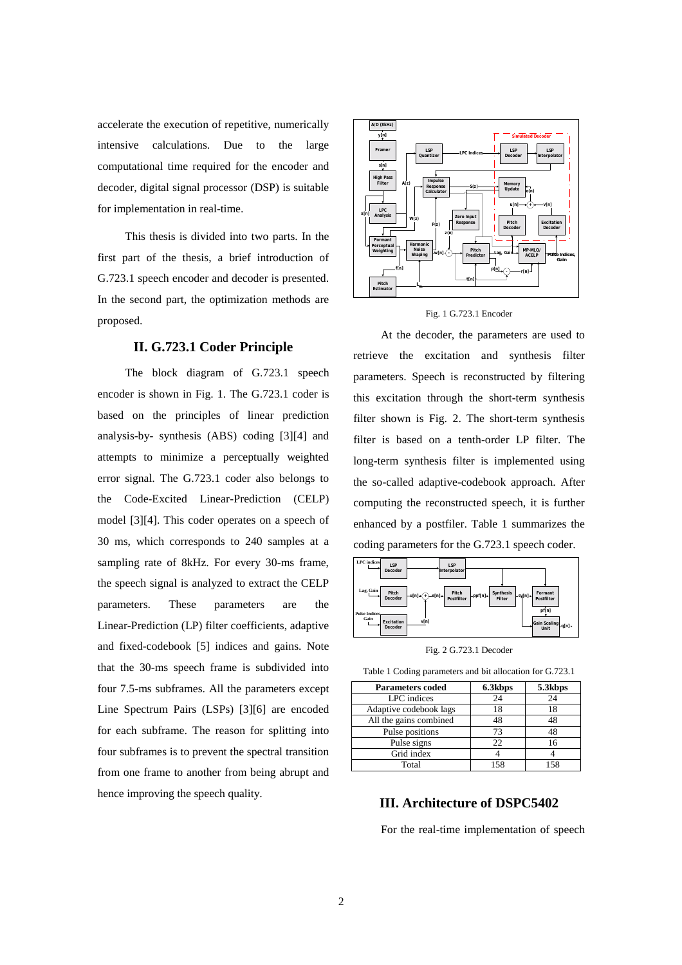accelerate the execution of repetitive, numerically intensive calculations. Due to the large computational time required for the encoder and decoder, digital signal processor (DSP) is suitable for implementation in real-time.

This thesis is divided into two parts. In the first part of the thesis, a brief introduction of G.723.1 speech encoder and decoder is presented. In the second part, the optimization methods are proposed.

## **II. G.723.1 Coder Principle**

The block diagram of G.723.1 speech encoder is shown in Fig. 1. The G.723.1 coder is based on the principles of linear prediction analysis-by- synthesis (ABS) coding [3][4] and attempts to minimize a perceptually weighted error signal. The G.723.1 coder also belongs to the Code-Excited Linear-Prediction (CELP) model [3][4]. This coder operates on a speech of 30 ms, which corresponds to 240 samples at a sampling rate of 8kHz. For every 30-ms frame, the speech signal is analyzed to extract the CELP parameters. These parameters are the Linear-Prediction (LP) filter coefficients, adaptive and fixed-codebook [5] indices and gains. Note that the 30-ms speech frame is subdivided into four 7.5-ms subframes. All the parameters except Line Spectrum Pairs (LSPs) [3][6] are encoded for each subframe. The reason for splitting into four subframes is to prevent the spectral transition from one frame to another from being abrupt and hence improving the speech quality.



#### Fig. 1 G.723.1 Encoder

 At the decoder, the parameters are used to retrieve the excitation and synthesis filter parameters. Speech is reconstructed by filtering this excitation through the short-term synthesis filter shown is Fig. 2. The short-term synthesis filter is based on a tenth-order LP filter. The long-term synthesis filter is implemented using the so-called adaptive-codebook approach. After computing the reconstructed speech, it is further enhanced by a postfiler. Table 1 summarizes the coding parameters for the G.723.1 speech coder.



Fig. 2 G.723.1 Decoder

Table 1 Coding parameters and bit allocation for G.723.1

| <b>Parameters coded</b> | 6.3kbps | 5.3kbps |
|-------------------------|---------|---------|
| LPC indices             | 24      | 24      |
| Adaptive codebook lags  | 18      | 18      |
| All the gains combined  | 48      | 48      |
| Pulse positions         | 73      | 48      |
| Pulse signs             | 22      | 16      |
| Grid index              |         |         |
| Total                   | 158     | 158     |

# **III. Architecture of DSPC5402**

For the real-time implementation of speech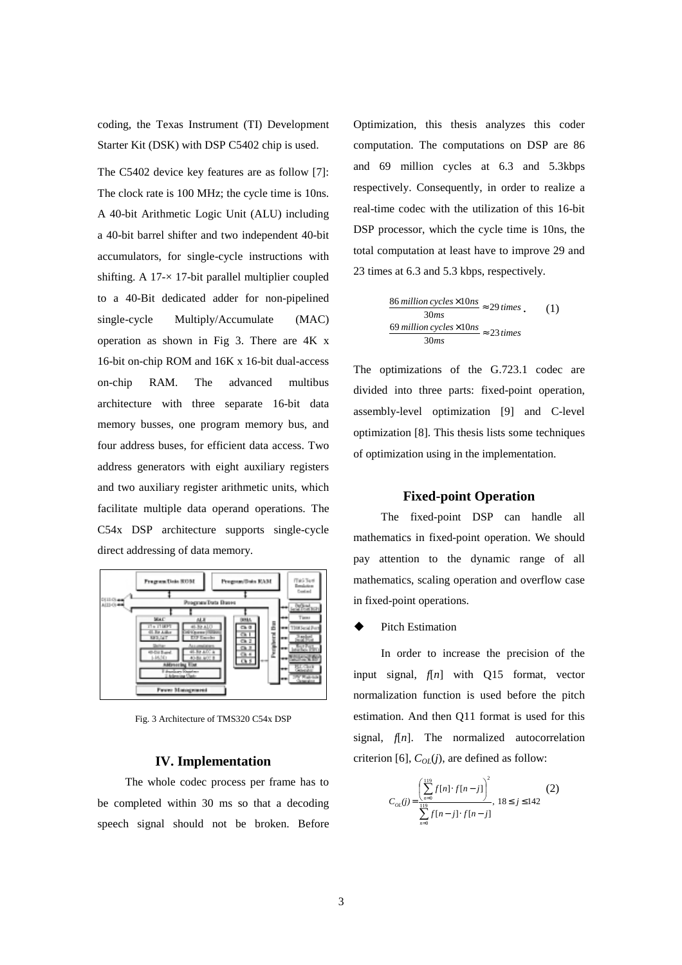coding, the Texas Instrument (TI) Development Starter Kit (DSK) with DSP C5402 chip is used.

The C5402 device key features are as follow [7]: The clock rate is 100 MHz; the cycle time is 10ns. A 40-bit Arithmetic Logic Unit (ALU) including a 40-bit barrel shifter and two independent 40-bit accumulators, for single-cycle instructions with shifting. A  $17 \times 17$ -bit parallel multiplier coupled to a 40-Bit dedicated adder for non-pipelined single-cycle Multiply/Accumulate (MAC) operation as shown in Fig 3. There are 4K x 16-bit on-chip ROM and 16K x 16-bit dual-access on-chip RAM. The advanced multibus architecture with three separate 16-bit data memory busses, one program memory bus, and four address buses, for efficient data access. Two address generators with eight auxiliary registers and two auxiliary register arithmetic units, which facilitate multiple data operand operations. The C54x DSP architecture supports single-cycle direct addressing of data memory.



Fig. 3 Architecture of TMS320 C54x DSP

### **IV. Implementation**

The whole codec process per frame has to be completed within 30 ms so that a decoding speech signal should not be broken. Before Optimization, this thesis analyzes this coder computation. The computations on DSP are 86 and 69 million cycles at 6.3 and 5.3kbps respectively. Consequently, in order to realize a real-time codec with the utilization of this 16-bit DSP processor, which the cycle time is 10ns, the total computation at least have to improve 29 and 23 times at 6.3 and 5.3 kbps, respectively.

$$
\frac{86 \text{ million cycles} \times 10 \text{ns}}{30 \text{ms}} \approx 29 \text{ times} \tag{1}
$$
  

$$
\frac{69 \text{ million cycles} \times 10 \text{ns}}{30 \text{ms}} \approx 23 \text{ times}
$$

The optimizations of the G.723.1 codec are divided into three parts: fixed-point operation, assembly-level optimization [9] and C-level optimization [8]. This thesis lists some techniques of optimization using in the implementation.

### **Fixed-point Operation**

The fixed-point DSP can handle all mathematics in fixed-point operation. We should pay attention to the dynamic range of all mathematics, scaling operation and overflow case in fixed-point operations.

#### Pitch Estimation

In order to increase the precision of the input signal, *f*[*n*] with Q15 format, vector normalization function is used before the pitch estimation. And then Q11 format is used for this signal, *f*[*n*]. The normalized autocorrelation criterion [6],  $C_{OL}(i)$ , are defined as follow:

$$
C_{oL}(j) = \frac{\left(\sum_{n=0}^{119} f[n] \cdot f[n-j]\right)^2}{\sum_{n=0}^{119} f[n-j] \cdot f[n-j]}, 18 \le j \le 142
$$
 (2)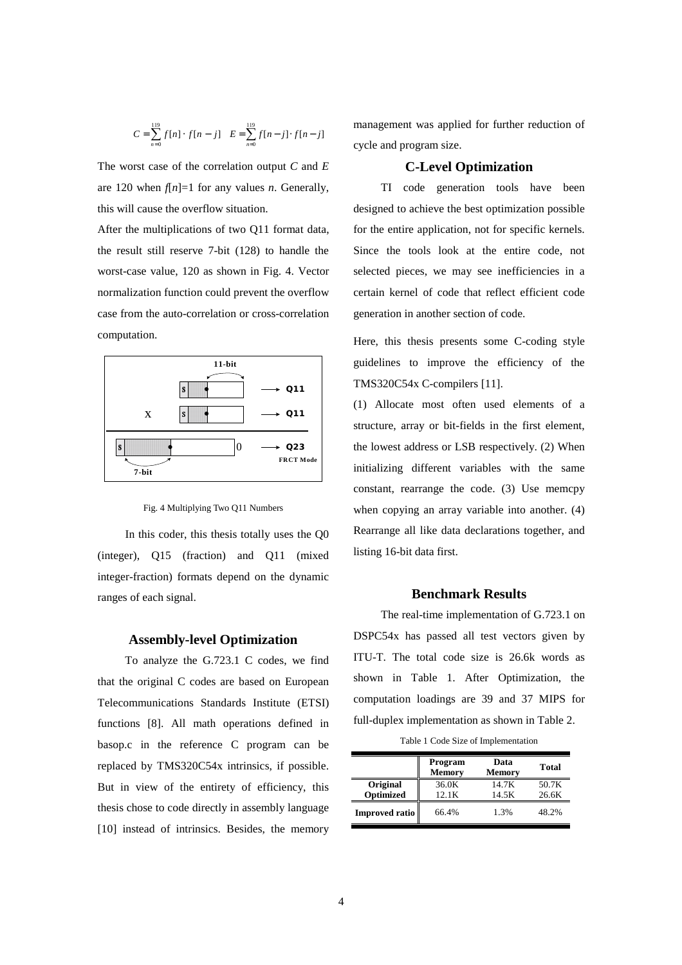$$
C = \sum_{n=0}^{119} f[n] \cdot f[n-j] \quad E = \sum_{n=0}^{119} f[n-j] \cdot f[n-j]
$$

The worst case of the correlation output *C* and *E* are 120 when  $f[n]=1$  for any values *n*. Generally, this will cause the overflow situation.

After the multiplications of two Q11 format data, the result still reserve 7-bit (128) to handle the worst-case value, 120 as shown in Fig. 4. Vector normalization function could prevent the overflow case from the auto-correlation or cross-correlation computation.



Fig. 4 Multiplying Two Q11 Numbers

In this coder, this thesis totally uses the Q0 (integer), Q15 (fraction) and Q11 (mixed integer-fraction) formats depend on the dynamic ranges of each signal.

#### **Assembly-level Optimization**

To analyze the G.723.1 C codes, we find that the original C codes are based on European Telecommunications Standards Institute (ETSI) functions [8]. All math operations defined in basop.c in the reference C program can be replaced by TMS320C54x intrinsics, if possible. But in view of the entirety of efficiency, this thesis chose to code directly in assembly language [10] instead of intrinsics. Besides, the memory

management was applied for further reduction of cycle and program size.

### **C-Level Optimization**

TI code generation tools have been designed to achieve the best optimization possible for the entire application, not for specific kernels. Since the tools look at the entire code, not selected pieces, we may see inefficiencies in a certain kernel of code that reflect efficient code generation in another section of code.

Here, this thesis presents some C-coding style guidelines to improve the efficiency of the TMS320C54x C-compilers [11].

(1) Allocate most often used elements of a structure, array or bit-fields in the first element, the lowest address or LSB respectively. (2) When initializing different variables with the same constant, rearrange the code. (3) Use memcpy when copying an array variable into another. (4) Rearrange all like data declarations together, and listing 16-bit data first.

### **Benchmark Results**

The real-time implementation of G.723.1 on DSPC54x has passed all test vectors given by ITU-T. The total code size is 26.6k words as shown in Table 1. After Optimization, the computation loadings are 39 and 37 MIPS for full-duplex implementation as shown in Table 2.

Table 1 Code Size of Implementation

|                       | Program<br><b>Memory</b> | Data<br><b>Memory</b> | <b>Total</b>   |
|-----------------------|--------------------------|-----------------------|----------------|
| Original<br>Optimized | 36.0K<br>12.1K           | 14.7K<br>14.5K        | 50.7K<br>26.6K |
| Improved ratio        | 66.4%                    | 1.3%                  | 48.2%          |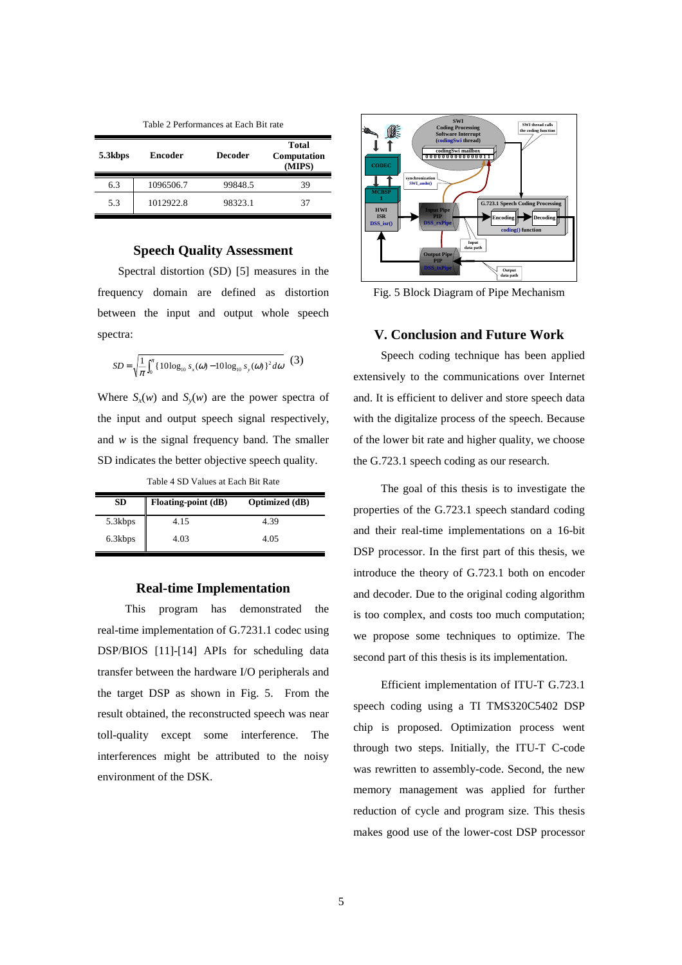Table 2 Performances at Each Bit rate

| 5.3kbps | Encoder   | <b>Decoder</b> | <b>Total</b><br>Computation<br>(MIPS) |
|---------|-----------|----------------|---------------------------------------|
| 6.3     | 1096506.7 | 99848.5        | 39                                    |
| 5.3     | 1012922.8 | 98323.1        | 37                                    |

### **Speech Quality Assessment**

Spectral distortion (SD) [5] measures in the frequency domain are defined as distortion between the input and output whole speech spectra:

$$
SD = \sqrt{\frac{1}{\pi} \int_0^{\pi} \{10 \log_{10} s_x(\omega) - 10 \log_{10} s_y(\omega)\}^2 d\omega} \quad (3)
$$

Where  $S_x(w)$  and  $S_y(w)$  are the power spectra of the input and output speech signal respectively, and *w* is the signal frequency band. The smaller SD indicates the better objective speech quality.

Table 4 SD Values at Each Bit Rate

| <b>SD</b> | Floating-point (dB) | <b>Optimized</b> (dB) |
|-----------|---------------------|-----------------------|
| 5.3kbps   | 4.15                | 4.39                  |
| 6.3kbps   | 4.03                | 4.05                  |

### **Real-time Implementation**

This program has demonstrated the real-time implementation of G.7231.1 codec using DSP/BIOS [11]-[14] APIs for scheduling data transfer between the hardware I/O peripherals and the target DSP as shown in Fig. 5. From the result obtained, the reconstructed speech was near toll-quality except some interference. The interferences might be attributed to the noisy environment of the DSK.



Fig. 5 Block Diagram of Pipe Mechanism

### **V. Conclusion and Future Work**

Speech coding technique has been applied extensively to the communications over Internet and. It is efficient to deliver and store speech data with the digitalize process of the speech. Because of the lower bit rate and higher quality, we choose the G.723.1 speech coding as our research.

The goal of this thesis is to investigate the properties of the G.723.1 speech standard coding and their real-time implementations on a 16-bit DSP processor. In the first part of this thesis, we introduce the theory of G.723.1 both on encoder and decoder. Due to the original coding algorithm is too complex, and costs too much computation; we propose some techniques to optimize. The second part of this thesis is its implementation.

Efficient implementation of ITU-T G.723.1 speech coding using a TI TMS320C5402 DSP chip is proposed. Optimization process went through two steps. Initially, the ITU-T C-code was rewritten to assembly-code. Second, the new memory management was applied for further reduction of cycle and program size. This thesis makes good use of the lower-cost DSP processor